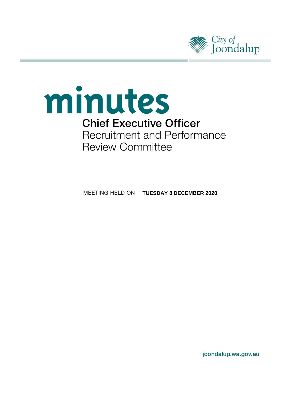

# minutes **Chief Executive Officer** Recruitment and Performance **Review Committee**

**MEETING HELD ON TUESDAY 8 DECEMBER 2020** 

joondalup.wa.gov.au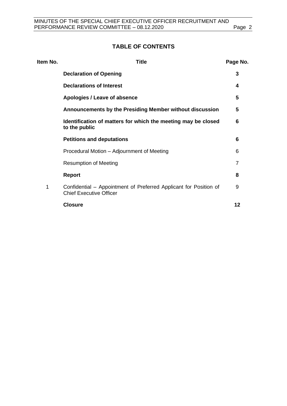# **TABLE OF CONTENTS**

| Item No. | <b>Title</b>                                                                                        | Page No. |
|----------|-----------------------------------------------------------------------------------------------------|----------|
|          | <b>Declaration of Opening</b>                                                                       | 3        |
|          | <b>Declarations of Interest</b>                                                                     | 4        |
|          | Apologies / Leave of absence                                                                        | 5        |
|          | Announcements by the Presiding Member without discussion                                            | 5        |
|          | Identification of matters for which the meeting may be closed<br>to the public                      | 6        |
|          | <b>Petitions and deputations</b>                                                                    | 6        |
|          | Procedural Motion - Adjournment of Meeting                                                          | 6        |
|          | <b>Resumption of Meeting</b>                                                                        | 7        |
|          | <b>Report</b>                                                                                       | 8        |
| 1        | Confidential – Appointment of Preferred Applicant for Position of<br><b>Chief Executive Officer</b> | 9        |
|          | <b>Closure</b>                                                                                      | 12       |
|          |                                                                                                     |          |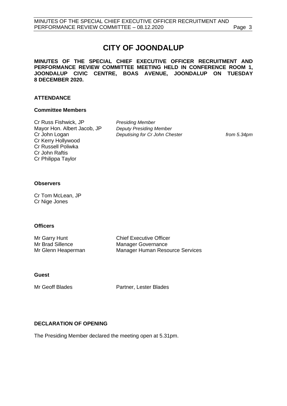# **CITY OF JOONDALUP**

**MINUTES OF THE SPECIAL CHIEF EXECUTIVE OFFICER RECRUITMENT AND PERFORMANCE REVIEW COMMITTEE MEETING HELD IN CONFERENCE ROOM 1, JOONDALUP CIVIC CENTRE, BOAS AVENUE, JOONDALUP ON TUESDAY 8 DECEMBER 2020.** 

#### **ATTENDANCE**

#### **Committee Members**

Cr Russ Fishwick, JP *Presiding Member* Mayor Hon. Albert Jacob, JP *Deputy Presiding Member* Cr Kerry Hollywood Cr Russell Poliwka Cr John Raftis Cr Philippa Taylor

Cr John Logan *Deputising for Cr John Chester from 5.34pm*

#### **Observers**

Cr Tom McLean, JP Cr Nige Jones

#### **Officers**

Mr Garry Hunt Chief Executive Officer Mr Brad Sillence Manager Governance Mr Glenn Heaperman Manager Human Resource Services

#### **Guest**

Mr Geoff Blades Partner, Lester Blades

#### <span id="page-2-0"></span>**DECLARATION OF OPENING**

The Presiding Member declared the meeting open at 5.31pm.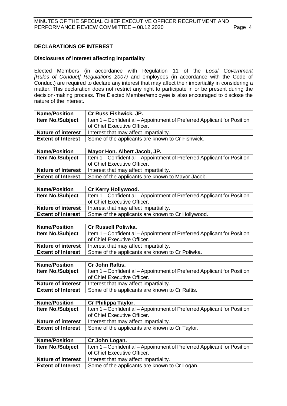# <span id="page-3-0"></span>**DECLARATIONS OF INTEREST**

## **Disclosures of interest affecting impartiality**

Elected Members (in accordance with Regulation 11 of the *Local Government [Rules of Conduct] Regulations 2007)* and employees (in accordance with the Code of Conduct) are required to declare any interest that may affect their impartiality in considering a matter. This declaration does not restrict any right to participate in or be present during the decision-making process. The Elected Member/employee is also encouraged to disclose the nature of the interest.

| <b>Name/Position</b>      | <b>Cr Russ Fishwick, JP.</b>                                            |  |
|---------------------------|-------------------------------------------------------------------------|--|
| <b>Item No./Subject</b>   | Item 1 – Confidential – Appointment of Preferred Applicant for Position |  |
|                           | of Chief Executive Officer.                                             |  |
| <b>Nature of interest</b> | Interest that may affect impartiality.                                  |  |
| <b>Extent of Interest</b> | Some of the applicants are known to Cr Fishwick.                        |  |

| <b>Name/Position</b>      | Mayor Hon. Albert Jacob, JP.                                            |  |
|---------------------------|-------------------------------------------------------------------------|--|
| <b>Item No./Subject</b>   | Item 1 – Confidential – Appointment of Preferred Applicant for Position |  |
|                           | of Chief Executive Officer.                                             |  |
| <b>Nature of interest</b> | Interest that may affect impartiality.                                  |  |
| <b>Extent of Interest</b> | Some of the applicants are known to Mayor Jacob.                        |  |

| <b>Name/Position</b>      | <b>Cr Kerry Hollywood.</b>                                              |
|---------------------------|-------------------------------------------------------------------------|
| <b>Item No./Subject</b>   | Item 1 – Confidential – Appointment of Preferred Applicant for Position |
|                           | of Chief Executive Officer.                                             |
| <b>Nature of interest</b> | Interest that may affect impartiality.                                  |
| <b>Extent of Interest</b> | Some of the applicants are known to Cr Hollywood.                       |
|                           |                                                                         |

| <b>Name/Position</b>      | <b>Cr Russell Poliwka.</b>                                              |  |
|---------------------------|-------------------------------------------------------------------------|--|
| <b>Item No./Subject</b>   | Item 1 – Confidential – Appointment of Preferred Applicant for Position |  |
|                           | of Chief Executive Officer.                                             |  |
| <b>Nature of interest</b> | Interest that may affect impartiality.                                  |  |
| <b>Extent of Interest</b> | Some of the applicants are known to Cr Poliwka.                         |  |
|                           |                                                                         |  |

| <b>Name/Position</b>      | <b>Cr John Raftis.</b>                                                  |
|---------------------------|-------------------------------------------------------------------------|
| <b>Item No./Subject</b>   | Item 1 – Confidential – Appointment of Preferred Applicant for Position |
|                           | of Chief Executive Officer.                                             |
| <b>Nature of interest</b> | Interest that may affect impartiality.                                  |
| <b>Extent of Interest</b> | Some of the applicants are known to Cr Raftis.                          |
|                           |                                                                         |

| <b>Name/Position</b>      | Cr Philippa Taylor.                                                     |
|---------------------------|-------------------------------------------------------------------------|
| <b>Item No./Subject</b>   | Item 1 – Confidential – Appointment of Preferred Applicant for Position |
|                           | of Chief Executive Officer.                                             |
| <b>Nature of interest</b> | Interest that may affect impartiality.                                  |
| <b>Extent of Interest</b> | Some of the applicants are known to Cr Taylor.                          |

| <b>Name/Position</b>      | Cr John Logan.                                                          |  |
|---------------------------|-------------------------------------------------------------------------|--|
| <b>Item No./Subject</b>   | Item 1 – Confidential – Appointment of Preferred Applicant for Position |  |
|                           | of Chief Executive Officer.                                             |  |
| <b>Nature of interest</b> | Interest that may affect impartiality.                                  |  |
| <b>Extent of Interest</b> | Some of the applicants are known to Cr Logan.                           |  |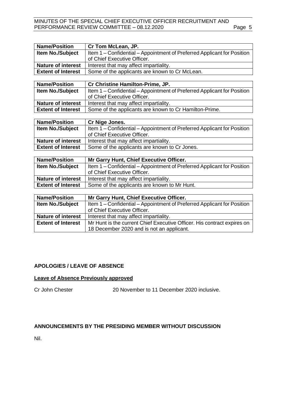#### MINUTES OF THE SPECIAL CHIEF EXECUTIVE OFFICER RECRUITMENT AND PERFORMANCE REVIEW COMMITTEE - 08.12.2020 Page 5

| <b>Name/Position</b>      | Cr Tom McLean, JP.                                                      |
|---------------------------|-------------------------------------------------------------------------|
| Item No./Subject          | Item 1 - Confidential - Appointment of Preferred Applicant for Position |
|                           | of Chief Executive Officer.                                             |
| <b>Nature of interest</b> | Interest that may affect impartiality.                                  |
| <b>Extent of Interest</b> | Some of the applicants are known to Cr McLean.                          |
|                           |                                                                         |
| <b>Name/Position</b>      | Cr Christine Hamilton-Prime, JP.                                        |
| Item No./Subject          | Item 1 - Confidential - Appointment of Preferred Applicant for Position |
|                           | of Chief Executive Officer.                                             |
| Nature of interest        | Interest that may affect impartiality.                                  |
| <b>Extent of Interest</b> | Some of the applicants are known to Cr Hamilton-Prime.                  |
|                           |                                                                         |
| <b>Name/Position</b>      | Cr Nige Jones.                                                          |
| Item No./Subject          | Item 1 – Confidential – Appointment of Preferred Applicant for Position |
|                           | of Chief Executive Officer.                                             |
| <b>Nature of interest</b> | Interest that may affect impartiality.                                  |
| <b>Extent of Interest</b> | Some of the applicants are known to Cr Jones.                           |
|                           |                                                                         |
| <b>Name/Position</b>      | Mr Garry Hunt, Chief Executive Officer.                                 |
| Item No./Subject          | Item 1 – Confidential – Appointment of Preferred Applicant for Position |
|                           | of Chief Executive Officer.                                             |
| <b>Nature of interest</b> | Interest that may affect impartiality.                                  |
| <b>Extent of Interest</b> | Some of the applicants are known to Mr Hunt.                            |
|                           |                                                                         |
| <b>Name/Position</b>      | Mr Garry Hunt, Chief Executive Officer.                                 |
|                           |                                                                         |
| Item No./Subject          | Item 1 - Confidential - Appointment of Preferred Applicant for Position |

|                           | <sup>I</sup> of Chief Executive Officer.                                |  |
|---------------------------|-------------------------------------------------------------------------|--|
| <b>Nature of interest</b> | Interest that may affect impartiality.                                  |  |
| <b>Extent of Interest</b> | Mr Hunt is the current Chief Executive Officer. His contract expires on |  |
|                           | 18 December 2020 and is not an applicant.                               |  |

#### <span id="page-4-0"></span>**APOLOGIES / LEAVE OF ABSENCE**

#### **Leave of Absence Previously approved**

Cr John Chester 20 November to 11 December 2020 inclusive.

#### <span id="page-4-1"></span>**ANNOUNCEMENTS BY THE PRESIDING MEMBER WITHOUT DISCUSSION**

Nil.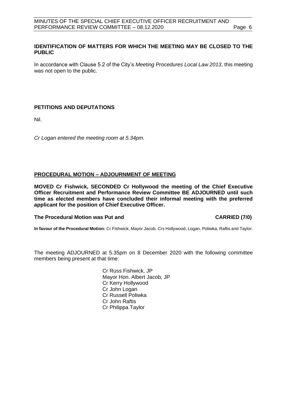#### <span id="page-5-0"></span>**IDENTIFICATION OF MATTERS FOR WHICH THE MEETING MAY BE CLOSED TO THE PUBLIC**

In accordance with Clause 5.2 of the City's *Meeting Procedures Local Law 2013*, this meeting was not open to the public.

### <span id="page-5-1"></span>**PETITIONS AND DEPUTATIONS**

Nil.

*Cr Logan entered the meeting room at 5.34pm.* 

#### <span id="page-5-2"></span>**PROCEDURAL MOTION – ADJOURNMENT OF MEETING**

**MOVED Cr Fishwick, SECONDED Cr Hollywood the meeting of the Chief Executive Officer Recruitment and Performance Review Committee BE ADJOURNED until such time as elected members have concluded their informal meeting with the preferred applicant for the position of Chief Executive Officer.**

#### **The Procedural Motion was Put and CARRIED (7/0)**

**In favour of the Procedural Motion:** Cr Fishwick, Mayor Jacob, Crs Hollywood, Logan, Poliwka, Raftis and Taylor.

The meeting ADJOURNED at 5.35pm on 8 December 2020 with the following committee members being present at that time:

> Cr Russ Fishwick, JP Mayor Hon. Albert Jacob, JP Cr Kerry Hollywood Cr John Logan Cr Russell Poliwka Cr John Raftis Cr Philippa Taylor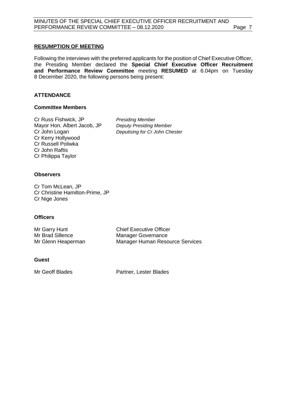#### <span id="page-6-0"></span>**RESUMPTION OF MEETING**

Following the interviews with the preferred applicants for the position of Chief Executive Officer, the Presiding Member declared the **Special Chief Executive Officer Recruitment and Performance Review Committee** meeting **RESUMED** at 6.04pm on Tuesday 8 December 2020, the following persons being present:

#### **ATTENDANCE**

#### **Committee Members**

Cr Russ Fishwick, JP *Presiding Member* Mayor Hon. Albert Jacob, JP *Deputy Presiding Member* Cr Kerry Hollywood Cr Russell Poliwka Cr John Raftis Cr Philippa Taylor

**Deputising for Cr John Chester** 

#### **Observers**

Cr Tom McLean, JP Cr Christine Hamilton-Prime, JP Cr Nige Jones

#### **Officers**

| Mr Garry Hunt      | <b>Chief Executive Officer</b>         |
|--------------------|----------------------------------------|
| Mr Brad Sillence   | <b>Manager Governance</b>              |
| Mr Glenn Heaperman | <b>Manager Human Resource Services</b> |

#### **Guest**

Mr Geoff Blades **Partner**, Lester Blades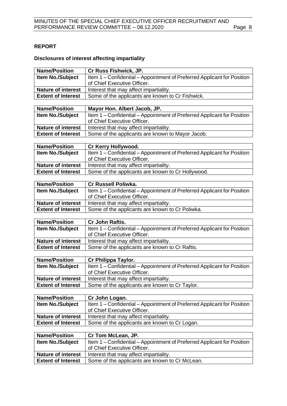# <span id="page-7-0"></span>**REPORT**

# **Disclosures of interest affecting impartiality**

| <b>Name/Position</b>      | Cr Russ Fishwick, JP.                                                   |
|---------------------------|-------------------------------------------------------------------------|
| Item No./Subject          | Item 1 – Confidential – Appointment of Preferred Applicant for Position |
|                           | of Chief Executive Officer.                                             |
| <b>Nature of interest</b> | Interest that may affect impartiality.                                  |
| <b>Extent of Interest</b> | Some of the applicants are known to Cr Fishwick.                        |
|                           |                                                                         |
| <b>Name/Position</b>      | Mayor Hon. Albert Jacob, JP.                                            |
| <b>Item No./Subject</b>   | Item 1 – Confidential – Appointment of Preferred Applicant for Position |
|                           | of Chief Executive Officer.                                             |
| <b>Nature of interest</b> | Interest that may affect impartiality.                                  |
| <b>Extent of Interest</b> | Some of the applicants are known to Mayor Jacob.                        |
|                           |                                                                         |
| <b>Name/Position</b>      | Cr Kerry Hollywood.                                                     |
| <b>Item No./Subject</b>   | Item 1 – Confidential – Appointment of Preferred Applicant for Position |
|                           | of Chief Executive Officer.                                             |
| <b>Nature of interest</b> | Interest that may affect impartiality.                                  |
| <b>Extent of Interest</b> | Some of the applicants are known to Cr Hollywood.                       |
|                           |                                                                         |

| <b>Name/Position</b>      | <b>Cr Russell Poliwka.</b>                                              |  |
|---------------------------|-------------------------------------------------------------------------|--|
| <b>Item No./Subject</b>   | Item 1 – Confidential – Appointment of Preferred Applicant for Position |  |
|                           | of Chief Executive Officer.                                             |  |
| <b>Nature of interest</b> | Interest that may affect impartiality.                                  |  |
| <b>Extent of Interest</b> | Some of the applicants are known to Cr Poliwka.                         |  |

| <b>Item No./Subject</b><br>Item 1 – Confidential – Appointment of Preferred Applicant for Position |
|----------------------------------------------------------------------------------------------------|
|                                                                                                    |
| of Chief Executive Officer.                                                                        |
| <b>Nature of interest</b><br>Interest that may affect impartiality.                                |
| Some of the applicants are known to Cr Raftis.<br><b>Extent of Interest</b>                        |

| <b>Item No./Subject</b><br>Item 1 – Confidential – Appointment of Preferred Applicant for Position<br>of Chief Executive Officer. | <b>Name/Position</b> | Cr Philippa Taylor. |  |
|-----------------------------------------------------------------------------------------------------------------------------------|----------------------|---------------------|--|
|                                                                                                                                   |                      |                     |  |
|                                                                                                                                   |                      |                     |  |
| <b>Nature of interest</b><br>Interest that may affect impartiality.                                                               |                      |                     |  |
| Some of the applicants are known to Cr Taylor.<br><b>Extent of Interest</b>                                                       |                      |                     |  |

| <b>Name/Position</b>      | Cr John Logan.                                                          |  |
|---------------------------|-------------------------------------------------------------------------|--|
| <b>Item No./Subject</b>   | Item 1 – Confidential – Appointment of Preferred Applicant for Position |  |
|                           | of Chief Executive Officer.                                             |  |
| <b>Nature of interest</b> | Interest that may affect impartiality.                                  |  |
| <b>Extent of Interest</b> | Some of the applicants are known to Cr Logan.                           |  |

| <b>Name/Position</b>      | Cr Tom McLean, JP.                                                      |
|---------------------------|-------------------------------------------------------------------------|
| <b>Item No./Subject</b>   | Item 1 – Confidential – Appointment of Preferred Applicant for Position |
|                           | of Chief Executive Officer.                                             |
| <b>Nature of interest</b> | Interest that may affect impartiality.                                  |
| <b>Extent of Interest</b> | Some of the applicants are known to Cr McLean.                          |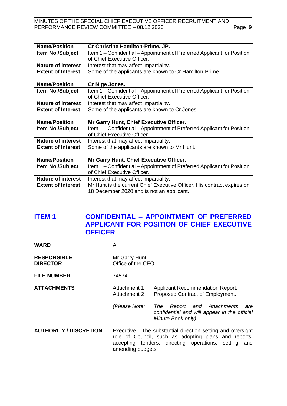#### MINUTES OF THE SPECIAL CHIEF EXECUTIVE OFFICER RECRUITMENT AND PERFORMANCE REVIEW COMMITTEE - 08.12.2020 Page 9

| <b>Name/Position</b>      | Cr Christine Hamilton-Prime, JP.                                        |  |
|---------------------------|-------------------------------------------------------------------------|--|
| <b>Item No./Subject</b>   | Item 1 – Confidential – Appointment of Preferred Applicant for Position |  |
|                           | of Chief Executive Officer.                                             |  |
| <b>Nature of interest</b> | Interest that may affect impartiality.                                  |  |
| <b>Extent of Interest</b> | Some of the applicants are known to Cr Hamilton-Prime.                  |  |
|                           |                                                                         |  |

| <b>Name/Position</b>      | Cr Nige Jones.                                                          |  |
|---------------------------|-------------------------------------------------------------------------|--|
| <b>Item No./Subject</b>   | Item 1 – Confidential – Appointment of Preferred Applicant for Position |  |
|                           | of Chief Executive Officer.                                             |  |
| <b>Nature of interest</b> | Interest that may affect impartiality.                                  |  |
| <b>Extent of Interest</b> | Some of the applicants are known to Cr Jones.                           |  |

| <b>Name/Position</b>      | Mr Garry Hunt, Chief Executive Officer.                                 |
|---------------------------|-------------------------------------------------------------------------|
| <b>Item No./Subject</b>   | Item 1 – Confidential – Appointment of Preferred Applicant for Position |
|                           | of Chief Executive Officer.                                             |
| <b>Nature of interest</b> | Interest that may affect impartiality.                                  |
| <b>Extent of Interest</b> | Some of the applicants are known to Mr Hunt.                            |

| <b>Name/Position</b>      | Mr Garry Hunt, Chief Executive Officer.                                 |  |
|---------------------------|-------------------------------------------------------------------------|--|
| <b>Item No./Subject</b>   | Item 1 – Confidential – Appointment of Preferred Applicant for Position |  |
|                           | of Chief Executive Officer.                                             |  |
| <b>Nature of interest</b> | Interest that may affect impartiality.                                  |  |
| <b>Extent of Interest</b> | Mr Hunt is the current Chief Executive Officer. His contract expires on |  |
|                           | 18 December 2020 and is not an applicant.                               |  |

# <span id="page-8-0"></span>**ITEM 1 CONFIDENTIAL – APPOINTMENT OF PREFERRED APPLICANT FOR POSITION OF CHIEF EXECUTIVE OFFICER**

**WARD** All

| <b>RESPONSIBLE</b><br><b>DIRECTOR</b> | Mr Garry Hunt<br>Office of the CEO                                                                                                                                                               |                                                                                                           |
|---------------------------------------|--------------------------------------------------------------------------------------------------------------------------------------------------------------------------------------------------|-----------------------------------------------------------------------------------------------------------|
| <b>FILE NUMBER</b>                    | 74574                                                                                                                                                                                            |                                                                                                           |
| <b>ATTACHMENTS</b>                    | Attachment 1<br>Attachment 2                                                                                                                                                                     | <b>Applicant Recommendation Report.</b><br>Proposed Contract of Employment.                               |
|                                       | (Please Note:                                                                                                                                                                                    | Report and Attachments<br>The<br>are<br>confidential and will appear in the official<br>Minute Book only) |
| <b>AUTHORITY / DISCRETION</b>         | Executive - The substantial direction setting and oversight<br>role of Council, such as adopting plans and reports,<br>accepting tenders, directing operations, setting and<br>amending budgets. |                                                                                                           |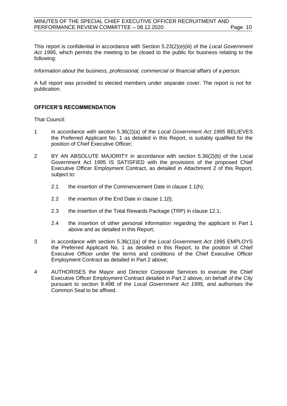#### MINUTES OF THE SPECIAL CHIEF EXECUTIVE OFFICER RECRUITMENT AND PERFORMANCE REVIEW COMMITTEE - 08.12.2020 Page 10

This report is confidential in accordance with Section 5.23(2)(e)(iii) of the *Local Government Act 1995*, which permits the meeting to be closed to the public for business relating to the following:

*Information about the business, professional, commercial or financial affairs of a person.*

A full report was provided to elected members under separate cover. The report is not for publication.

#### **OFFICER'S RECOMMENDATION**

That Council:

- 1 in accordance with section 5.36(2)(a) of the *Local Government Act 1995* BELIEVES the Preferred Applicant No. 1 as detailed in this Report, is suitably qualified for the position of Chief Executive Officer;
- 2 BY AN ABSOLUTE MAJORITY in accordance with section 5.36(2)(b) of the Local Government Act 1995 IS SATISFIED with the provisions of the proposed Chief Executive Officer Employment Contract, as detailed in Attachment 2 of this Report, subject to:
	- 2.1 the insertion of the Commencement Date in clause 1.1(h);
	- 2.2 the insertion of the End Date in clause 1.1(l);
	- 2.3 the insertion of the Total Rewards Package (TRP) in clause 12.1;
	- 2.4 the insertion of other personal information regarding the applicant in Part 1 above and as detailed in this Report;
- 3 in accordance with section 5.36(1)(a) of the *Local Government Act 1995* EMPLOYS the Preferred Applicant No. 1 as detailed in this Report, to the position of Chief Executive Officer under the terms and conditions of the Chief Executive Officer Employment Contract as detailed in Part 2 above;
- 4 AUTHORISES the Mayor and Director Corporate Services to execute the Chief Executive Officer Employment Contract detailed in Part 2 above, on behalf of the City pursuant to section 9.49B of the *Local Government Act 1995,* and authorises the Common Seal to be affixed.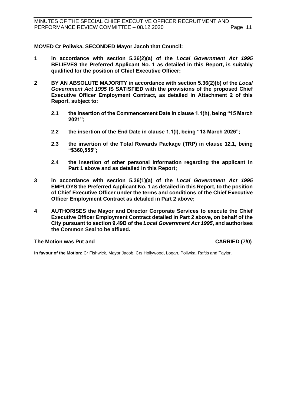**MOVED Cr Poliwka, SECONDED Mayor Jacob that Council:**

- **1 in accordance with section 5.36(2)(a) of the** *Local Government Act 1995* **BELIEVES the Preferred Applicant No. 1 as detailed in this Report, is suitably qualified for the position of Chief Executive Officer;**
- **2 BY AN ABSOLUTE MAJORITY in accordance with section 5.36(2)(b) of the** *Local Government Act 1995* **IS SATISFIED with the provisions of the proposed Chief Executive Officer Employment Contract, as detailed in Attachment 2 of this Report, subject to:** 
	- **2.1 the insertion of the Commencement Date in clause 1.1(h), being "15 March 2021";**
	- **2.2 the insertion of the End Date in clause 1.1(l), being "13 March 2026";**
	- **2.3 the insertion of the Total Rewards Package (TRP) in clause 12.1, being "\$360,555";**
	- **2.4 the insertion of other personal information regarding the applicant in Part 1 above and as detailed in this Report;**
- **3 in accordance with section 5.36(1)(a) of the** *Local Government Act 1995* **EMPLOYS the Preferred Applicant No. 1 as detailed in this Report, to the position of Chief Executive Officer under the terms and conditions of the Chief Executive Officer Employment Contract as detailed in Part 2 above;**
- **4 AUTHORISES the Mayor and Director Corporate Services to execute the Chief Executive Officer Employment Contract detailed in Part 2 above, on behalf of the City pursuant to section 9.49B of the** *Local Government Act 1995***, and authorises the Common Seal to be affixed.**

#### **The Motion was Put and CARRIED (7/0)**

**In favour of the Motion:** Cr Fishwick, Mayor Jacob, Crs Hollywood, Logan, Poliwka, Raftis and Taylor.